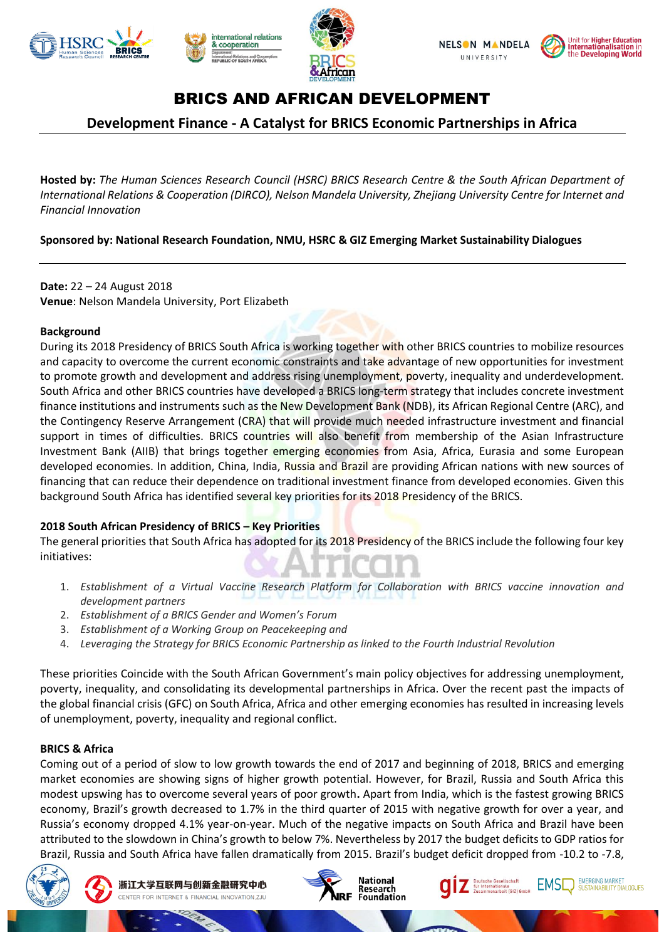





# BRICS AND AFRICAN DEVELOPMENT

## **Development Finance - A Catalyst for BRICS Economic Partnerships in Africa**

**Hosted by:** *The Human Sciences Research Council (HSRC) BRICS Research Centre & the South African Department of International Relations & Cooperation (DIRCO), Nelson Mandela University, Zhejiang University Centre for Internet and Financial Innovation*

**Sponsored by: National Research Foundation, NMU, HSRC & GIZ Emerging Market Sustainability Dialogues**

**Date:** 22 – 24 August 2018 **Venue**: Nelson Mandela University, Port Elizabeth

### **Background**

During its 2018 Presidency of BRICS South Africa is working together with other BRICS countries to mobilize resources and capacity to overcome the current economic constraints and take advantage of new opportunities for investment to promote growth and development and address rising unemployment, poverty, inequality and underdevelopment. South Africa and other BRICS countries have developed a BRICS long-term strategy that includes concrete investment finance institutions and instruments such as the New Development Bank (NDB), its African Regional Centre (ARC), and the Contingency Reserve Arrangement (CRA) that will provide much needed infrastructure investment and financial support in times of difficulties. BRICS countries will also benefit from membership of the Asian Infrastructure Investment Bank (AIIB) that brings together emerging economies from Asia, Africa, Eurasia and some European developed economies. In addition, China, India, Russia and Brazil are providing African nations with new sources of financing that can reduce their dependence on traditional investment finance from developed economies. Given this background South Africa has identified several key priorities for its 2018 Presidency of the BRICS.

### **2018 South African Presidency of BRICS – Key Priorities**

The general priorities that South Africa has adopted for its 2018 Presidency of the BRICS include the following four key initiatives:

- 1. *Establishment of a Virtual Vaccine Research Platform for Collaboration with BRICS vaccine innovation and development partners*
- 2. *Establishment of a BRICS Gender and Women's Forum*
- 3. *Establishment of a Working Group on Peacekeeping and*
- 4. *Leveraging the Strategy for BRICS Economic Partnership as linked to the Fourth Industrial Revolution*

These priorities Coincide with the South African Government's main policy objectives for addressing unemployment, poverty, inequality, and consolidating its developmental partnerships in Africa. Over the recent past the impacts of the global financial crisis (GFC) on South Africa, Africa and other emerging economies has resulted in increasing levels of unemployment, poverty, inequality and regional conflict.

### **BRICS & Africa**

Coming out of a period of slow to low growth towards the end of 2017 and beginning of 2018, BRICS and emerging market economies are showing signs of higher growth potential. However, for Brazil, Russia and South Africa this modest upswing has to overcome several years of poor growth**.** Apart from India, which is the fastest growing BRICS economy, Brazil's growth decreased to 1.7% in the third quarter of 2015 with negative growth for over a year, and Russia's economy dropped 4.1% year-on-year. Much of the negative impacts on South Africa and Brazil have been attributed to the slowdown in China's growth to below 7%. Nevertheless by 2017 the budget deficits to GDP ratios for Brazil, Russia and South Africa have fallen dramatically from 2015. Brazil's budget deficit dropped from -10.2 to -7.8,







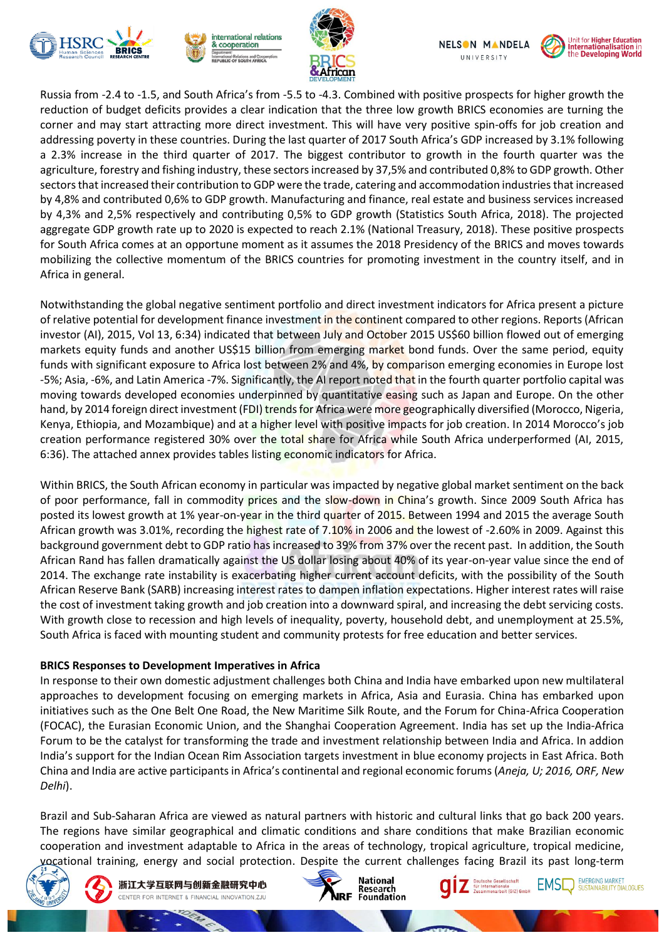









Russia from -2.4 to -1.5, and South Africa's from -5.5 to -4.3. Combined with positive prospects for higher growth the reduction of budget deficits provides a clear indication that the three low growth BRICS economies are turning the corner and may start attracting more direct investment. This will have very positive spin-offs for job creation and addressing poverty in these countries. During the last quarter of 2017 South Africa's GDP increased by 3.1% following a 2.3% increase in the third quarter of 2017. The biggest contributor to growth in the fourth quarter was the agriculture, forestry and fishing industry, these sectors increased by 37,5% and contributed 0,8% to GDP growth. Other sectors that increased their contribution to GDP were the trade, catering and accommodation industries that increased by 4,8% and contributed 0,6% to GDP growth. Manufacturing and finance, real estate and business services increased by 4,3% and 2,5% respectively and contributing 0,5% to GDP growth (Statistics South Africa, 2018). The projected aggregate GDP growth rate up to 2020 is expected to reach 2.1% (National Treasury, 2018). These positive prospects for South Africa comes at an opportune moment as it assumes the 2018 Presidency of the BRICS and moves towards mobilizing the collective momentum of the BRICS countries for promoting investment in the country itself, and in Africa in general.

Notwithstanding the global negative sentiment portfolio and direct investment indicators for Africa present a picture of relative potential for development finance investment in the continent compared to other regions. Reports (African investor (AI), 2015, Vol 13, 6:34) indicated that between July and October 2015 US\$60 billion flowed out of emerging markets equity funds and another US\$15 billion from emerging market bond funds. Over the same period, equity funds with significant exposure to Africa lost between 2% and 4%, by comparison emerging economies in Europe lost -5%; Asia, -6%, and Latin America -7%. Significantly, the AI report noted that in the fourth quarter portfolio capital was moving towards developed economies underpinned by quantitative easing such as Japan and Europe. On the other hand, by 2014 foreign direct investment (FDI) trends for Africa were more geographically diversified (Morocco, Nigeria, Kenya, Ethiopia, and Mozambique) and at a higher level with positive impacts for job creation. In 2014 Morocco's job creation performance registered 30% over the total share for Africa while South Africa underperformed (AI, 2015, 6:36). The attached annex provides tables listing economic indicators for Africa.

Within BRICS, the South African economy in particular was impacted by negative global market sentiment on the back of poor performance, fall in commodity prices and the slow-down in China's growth. Since 2009 South Africa has posted its lowest growth at 1% year-on-year in the third quarter of 2015. Between 1994 and 2015 the average South African growth was 3.01%, recording the highest rate of 7.10% in 2006 and the lowest of -2.60% in 2009. Against this background government debt to GDP ratio has increased to 39% from 37% over the recent past. In addition, the South African Rand has fallen dramatically against the US dollar losing about 40% of its year-on-year value since the end of 2014. The exchange rate instability is exacerbating higher current account deficits, with the possibility of the South African Reserve Bank (SARB) increasing interest rates to dampen inflation expectations. Higher interest rates will raise the cost of investment taking growth and job creation into a downward spiral, and increasing the debt servicing costs. With growth close to recession and high levels of inequality, poverty, household debt, and unemployment at 25.5%, South Africa is faced with mounting student and community protests for free education and better services.

### **BRICS Responses to Development Imperatives in Africa**

In response to their own domestic adjustment challenges both China and India have embarked upon new multilateral approaches to development focusing on emerging markets in Africa, Asia and Eurasia. China has embarked upon initiatives such as the One Belt One Road, the New Maritime Silk Route, and the Forum for China-Africa Cooperation (FOCAC), the Eurasian Economic Union, and the Shanghai Cooperation Agreement. India has set up the India-Africa Forum to be the catalyst for transforming the trade and investment relationship between India and Africa. In addion India's support for the Indian Ocean Rim Association targets investment in blue economy projects in East Africa. Both China and India are active participants in Africa's continental and regional economic forums (*Aneja, U; 2016, ORF, New Delhi*).

Brazil and Sub-Saharan Africa are viewed as natural partners with historic and cultural links that go back 200 years. The regions have similar geographical and climatic conditions and share conditions that make Brazilian economic cooperation and investment adaptable to Africa in the areas of technology, tropical agriculture, tropical medicine, vocational training, energy and social protection. Despite the current challenges facing Brazil its past long-term



浙江大学互联网与创新金融研究中心 CENTER FOR INTERNET & FINANCIAL INNOVATION.ZJU







EMERGING MARKET

SUSTAINABILITY DIALOGUES

**EMSI**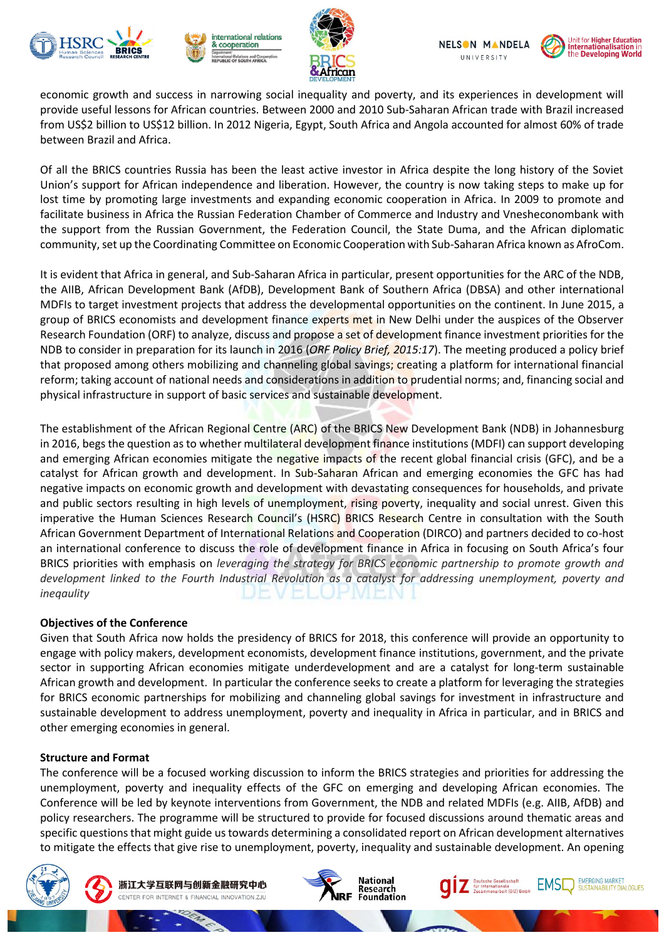









economic growth and success in narrowing social inequality and poverty, and its experiences in development will provide useful lessons for African countries. Between 2000 and 2010 Sub-Saharan African trade with Brazil increased from US\$2 billion to US\$12 billion. In 2012 Nigeria, Egypt, South Africa and Angola accounted for almost 60% of trade between Brazil and Africa.

Of all the BRICS countries Russia has been the least active investor in Africa despite the long history of the Soviet Union's support for African independence and liberation. However, the country is now taking steps to make up for lost time by promoting large investments and expanding economic cooperation in Africa. In 2009 to promote and facilitate business in Africa the Russian Federation Chamber of Commerce and Industry and Vnesheconombank with the support from the Russian Government, the Federation Council, the State Duma, and the African diplomatic community, set up the Coordinating Committee on Economic Cooperation with Sub-Saharan Africa known as AfroCom.

It is evident that Africa in general, and Sub-Saharan Africa in particular, present opportunities for the ARC of the NDB, the AIIB, African Development Bank (AfDB), Development Bank of Southern Africa (DBSA) and other international MDFIs to target investment projects that address the developmental opportunities on the continent. In June 2015, a group of BRICS economists and development finance experts met in New Delhi under the auspices of the Observer Research Foundation (ORF) to analyze, discuss and propose a set of development finance investment priorities for the NDB to consider in preparation for its launch in 2016 (*ORF Policy Brief, 2015:17*). The meeting produced a policy brief that proposed among others mobilizing and channeling global savings; creating a platform for international financial reform; taking account of national needs and considerations in addition to prudential norms; and, financing social and physical infrastructure in support of basic services and sustainable development.

The establishment of the African Regional Centre (ARC) of the BRICS New Development Bank (NDB) in Johannesburg in 2016, begs the question as to whether multilateral development finance institutions (MDFI) can support developing and emerging African economies mitigate the negative impacts of the recent global financial crisis (GFC), and be a catalyst for African growth and development. In Sub-Saharan African and emerging economies the GFC has had negative impacts on economic growth and development with devastating consequences for households, and private and public sectors resulting in high levels of unemployment, rising poverty, inequality and social unrest. Given this imperative the Human Sciences Research Council's (HSRC) BRICS Research Centre in consultation with the South African Government Department of International Relations and Cooperation (DIRCO) and partners decided to co-host an international conference to discuss the role of development finance in Africa in focusing on South Africa's four BRICS priorities with emphasis on *leveraging the strategy for BRICS economic partnership to promote growth and development linked to the Fourth Industrial Revolution as a catalyst for addressing unemployment, poverty and ineqaulity*

### **Objectives of the Conference**

Given that South Africa now holds the presidency of BRICS for 2018, this conference will provide an opportunity to engage with policy makers, development economists, development finance institutions, government, and the private sector in supporting African economies mitigate underdevelopment and are a catalyst for long-term sustainable African growth and development. In particular the conference seeks to create a platform for leveraging the strategies for BRICS economic partnerships for mobilizing and channeling global savings for investment in infrastructure and sustainable development to address unemployment, poverty and inequality in Africa in particular, and in BRICS and other emerging economies in general.

#### **Structure and Format**

The conference will be a focused working discussion to inform the BRICS strategies and priorities for addressing the unemployment, poverty and inequality effects of the GFC on emerging and developing African economies. The Conference will be led by keynote interventions from Government, the NDB and related MDFIs (e.g. AIIB, AfDB) and policy researchers. The programme will be structured to provide for focused discussions around thematic areas and specific questions that might guide us towards determining a consolidated report on African development alternatives to mitigate the effects that give rise to unemployment, poverty, inequality and sustainable development. An opening







**EMERGING MARKET** 

SUSTAINABILITY DIALOGUES

**EMSI**